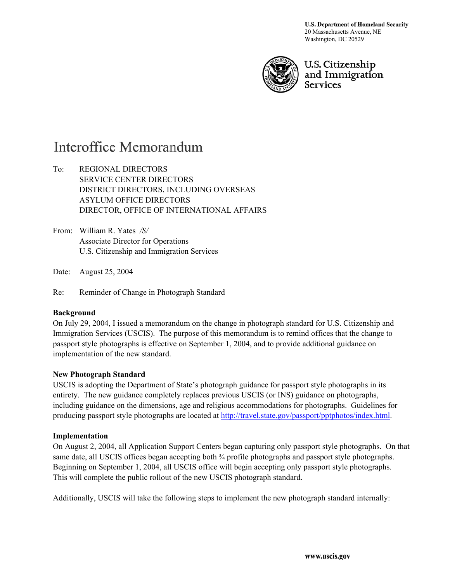U.S. Department of Homeland Security 20 Massachusetts Avenue, NE Washington, DC 20529



U.S. Citizenship and Immigration **Services** 

## **Interoffice Memorandum**

To: REGIONAL DIRECTORS SERVICE CENTER DIRECTORS DISTRICT DIRECTORS, INCLUDING OVERSEAS ASYLUM OFFICE DIRECTORS DIRECTOR, OFFICE OF INTERNATIONAL AFFAIRS

From: William R. Yates */S/*  Associate Director for Operations U.S. Citizenship and Immigration Services

Date: August 25, 2004

Re: Reminder of Change in Photograph Standard

## **Background**

On July 29, 2004, I issued a memorandum on the change in photograph standard for U.S. Citizenship and Immigration Services (USCIS). The purpose of this memorandum is to remind offices that the change to passport style photographs is effective on September 1, 2004, and to provide additional guidance on implementation of the new standard.

## **New Photograph Standard**

USCIS is adopting the Department of State's photograph guidance for passport style photographs in its entirety. The new guidance completely replaces previous USCIS (or INS) guidance on photographs, including guidance on the dimensions, age and religious accommodations for photographs. Guidelines for producing passport style photographs are located at http://travel.state.gov/passport/pptphotos/index.html.

## **Implementation**

On August 2, 2004, all Application Support Centers began capturing only passport style photographs. On that same date, all USCIS offices began accepting both  $\frac{3}{4}$  profile photographs and passport style photographs. Beginning on September 1, 2004, all USCIS office will begin accepting only passport style photographs. This will complete the public rollout of the new USCIS photograph standard.

Additionally, USCIS will take the following steps to implement the new photograph standard internally: